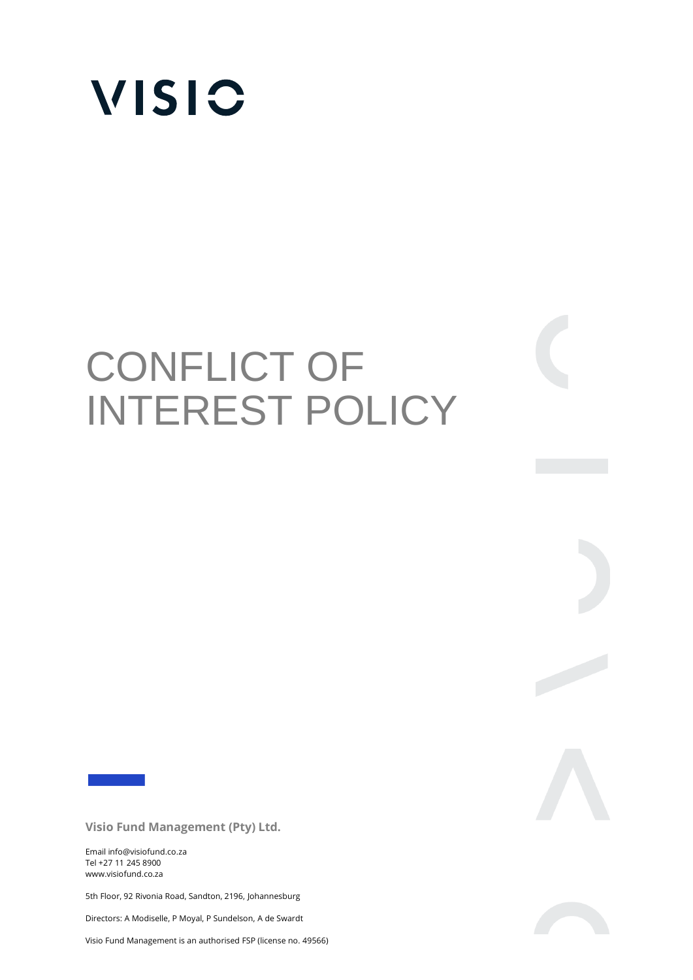

# CONFLICT OF INTEREST POLICY

**Visio Fund Management (Pty) Ltd.** 

Email info@visiofund.co.za Tel +27 11 245 8900 www.visiofund.co.za

5th Floor, 92 Rivonia Road, Sandton, 2196, Johannesburg

Directors: A Modiselle, P Moyal, P Sundelson, A de Swardt

Visio Fund Management is an authorised FSP (license no. 49566)



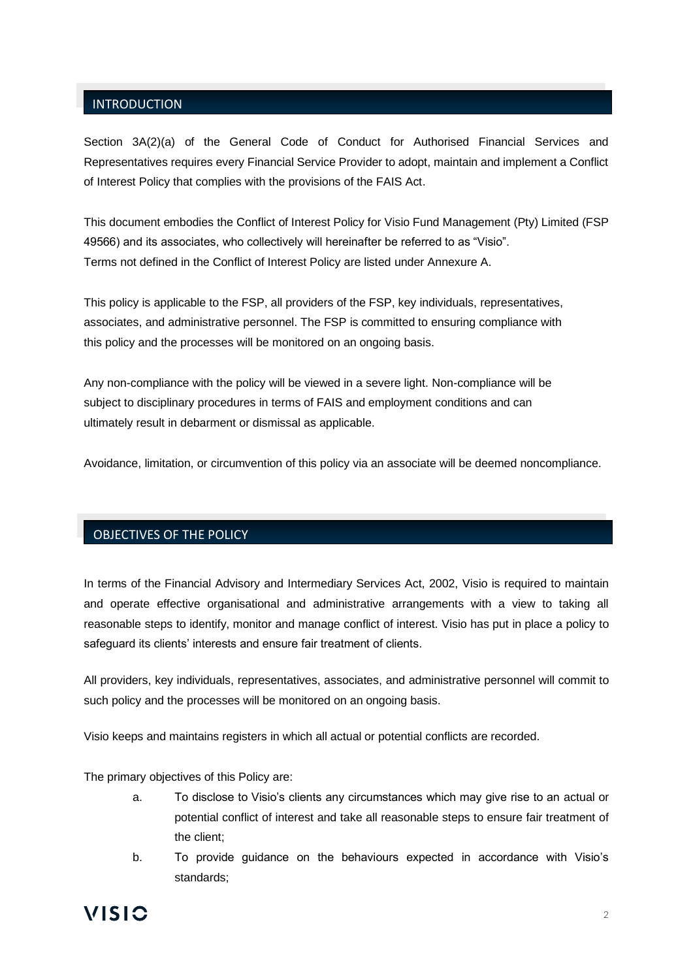## INTRODUCTION

Section 3A(2)(a) of the General Code of Conduct for Authorised Financial Services and Representatives requires every Financial Service Provider to adopt, maintain and implement a Conflict of Interest Policy that complies with the provisions of the FAIS Act.

This document embodies the Conflict of Interest Policy for Visio Fund Management (Pty) Limited (FSP 49566) and its associates, who collectively will hereinafter be referred to as "Visio". Terms not defined in the Conflict of Interest Policy are listed under Annexure A.

This policy is applicable to the FSP, all providers of the FSP, key individuals, representatives, associates, and administrative personnel. The FSP is committed to ensuring compliance with this policy and the processes will be monitored on an ongoing basis.

Any non-compliance with the policy will be viewed in a severe light. Non-compliance will be subject to disciplinary procedures in terms of FAIS and employment conditions and can ultimately result in debarment or dismissal as applicable.

Avoidance, limitation, or circumvention of this policy via an associate will be deemed noncompliance.

## OBJECTIVES OF THE POLICY

In terms of the Financial Advisory and Intermediary Services Act, 2002, Visio is required to maintain and operate effective organisational and administrative arrangements with a view to taking all reasonable steps to identify, monitor and manage conflict of interest. Visio has put in place a policy to safeguard its clients' interests and ensure fair treatment of clients.

All providers, key individuals, representatives, associates, and administrative personnel will commit to such policy and the processes will be monitored on an ongoing basis.

Visio keeps and maintains registers in which all actual or potential conflicts are recorded.

The primary objectives of this Policy are:

- a. To disclose to Visio's clients any circumstances which may give rise to an actual or potential conflict of interest and take all reasonable steps to ensure fair treatment of the client;
- b. To provide guidance on the behaviours expected in accordance with Visio's standards;

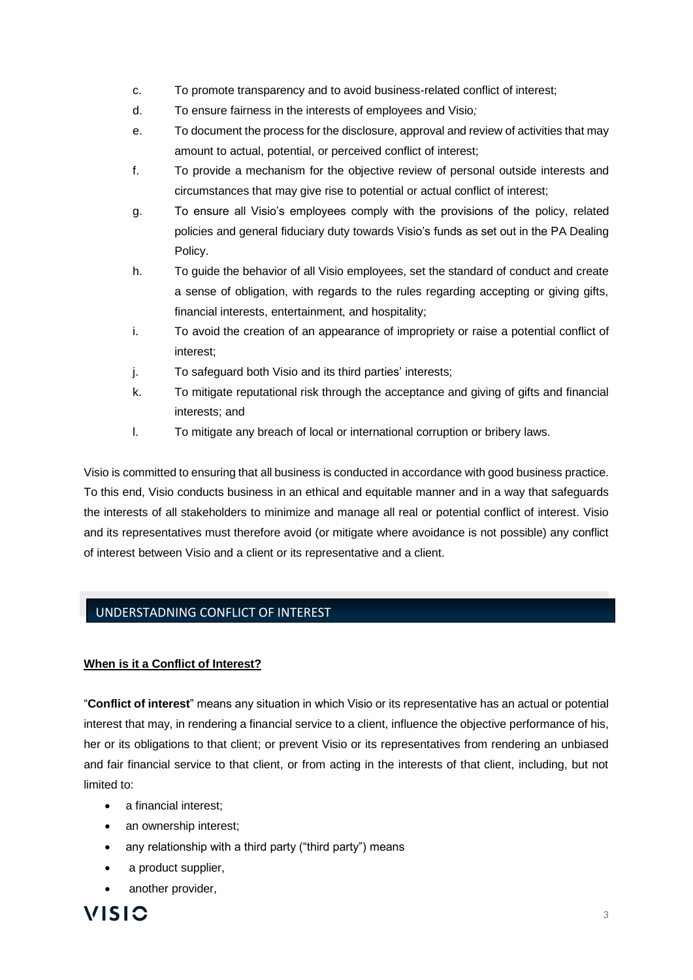- c. To promote transparency and to avoid business-related conflict of interest;
- d. To ensure fairness in the interests of employees and Visio*;*
- e. To document the process for the disclosure, approval and review of activities that may amount to actual, potential, or perceived conflict of interest;
- f. To provide a mechanism for the objective review of personal outside interests and circumstances that may give rise to potential or actual conflict of interest;
- g. To ensure all Visio's employees comply with the provisions of the policy, related policies and general fiduciary duty towards Visio's funds as set out in the PA Dealing Policy.
- h. To guide the behavior of all Visio employees, set the standard of conduct and create a sense of obligation, with regards to the rules regarding accepting or giving gifts, financial interests, entertainment, and hospitality;
- i. To avoid the creation of an appearance of impropriety or raise a potential conflict of interest;
- j. To safeguard both Visio and its third parties' interests;
- k. To mitigate reputational risk through the acceptance and giving of gifts and financial interests; and
- l. To mitigate any breach of local or international corruption or bribery laws.

Visio is committed to ensuring that all business is conducted in accordance with good business practice. To this end, Visio conducts business in an ethical and equitable manner and in a way that safeguards the interests of all stakeholders to minimize and manage all real or potential conflict of interest. Visio and its representatives must therefore avoid (or mitigate where avoidance is not possible) any conflict of interest between Visio and a client or its representative and a client.

# UNDERSTADNING CONFLICT OF INTEREST

## **When is it a Conflict of Interest?**

"**Conflict of interest**" means any situation in which Visio or its representative has an actual or potential interest that may, in rendering a financial service to a client, influence the objective performance of his, her or its obligations to that client; or prevent Visio or its representatives from rendering an unbiased and fair financial service to that client, or from acting in the interests of that client, including, but not limited to:

- a financial interest;
- an ownership interest:
- any relationship with a third party ("third party") means
- a product supplier,
- another provider,

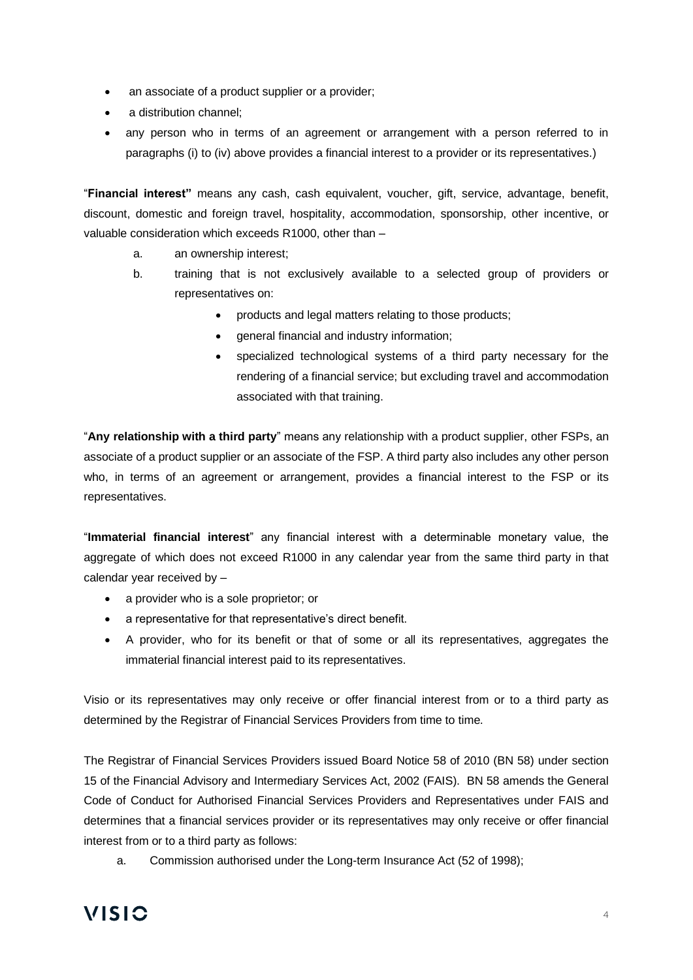- an associate of a product supplier or a provider;
- a distribution channel:
- any person who in terms of an agreement or arrangement with a person referred to in paragraphs (i) to (iv) above provides a financial interest to a provider or its representatives.)

"**Financial interest"** means any cash, cash equivalent, voucher, gift, service, advantage, benefit, discount, domestic and foreign travel, hospitality, accommodation, sponsorship, other incentive, or valuable consideration which exceeds R1000, other than –

- a. an ownership interest;
- b. training that is not exclusively available to a selected group of providers or representatives on:
	- products and legal matters relating to those products:
	- general financial and industry information;
	- specialized technological systems of a third party necessary for the rendering of a financial service; but excluding travel and accommodation associated with that training.

"**Any relationship with a third party**" means any relationship with a product supplier, other FSPs, an associate of a product supplier or an associate of the FSP. A third party also includes any other person who, in terms of an agreement or arrangement, provides a financial interest to the FSP or its representatives.

"**Immaterial financial interest**" any financial interest with a determinable monetary value, the aggregate of which does not exceed R1000 in any calendar year from the same third party in that calendar year received by –

- a provider who is a sole proprietor: or
- a representative for that representative's direct benefit.
- A provider, who for its benefit or that of some or all its representatives, aggregates the immaterial financial interest paid to its representatives.

Visio or its representatives may only receive or offer financial interest from or to a third party as determined by the Registrar of Financial Services Providers from time to time.

The Registrar of Financial Services Providers issued Board Notice 58 of 2010 (BN 58) under section 15 of the Financial Advisory and Intermediary Services Act, 2002 (FAIS). BN 58 amends the General Code of Conduct for Authorised Financial Services Providers and Representatives under FAIS and determines that a financial services provider or its representatives may only receive or offer financial interest from or to a third party as follows:

a. Commission authorised under the Long-term Insurance Act (52 of 1998);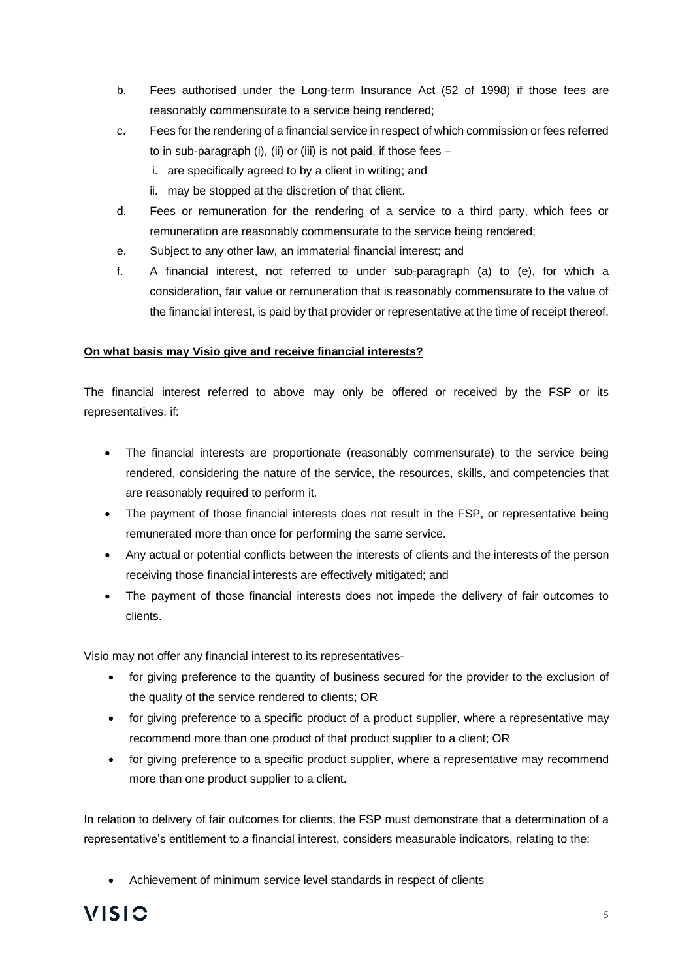- b. Fees authorised under the Long-term Insurance Act (52 of 1998) if those fees are reasonably commensurate to a service being rendered;
- c. Fees for the rendering of a financial service in respect of which commission or fees referred to in sub-paragraph (i), (ii) or (iii) is not paid, if those fees –
	- i. are specifically agreed to by a client in writing; and
	- ii. may be stopped at the discretion of that client.
- d. Fees or remuneration for the rendering of a service to a third party, which fees or remuneration are reasonably commensurate to the service being rendered;
- e. Subject to any other law, an immaterial financial interest; and
- f. A financial interest, not referred to under sub-paragraph (a) to (e), for which a consideration, fair value or remuneration that is reasonably commensurate to the value of the financial interest, is paid by that provider or representative at the time of receipt thereof.

## **On what basis may Visio give and receive financial interests?**

The financial interest referred to above may only be offered or received by the FSP or its representatives, if:

- The financial interests are proportionate (reasonably commensurate) to the service being rendered, considering the nature of the service, the resources, skills, and competencies that are reasonably required to perform it.
- The payment of those financial interests does not result in the FSP, or representative being remunerated more than once for performing the same service.
- Any actual or potential conflicts between the interests of clients and the interests of the person receiving those financial interests are effectively mitigated; and
- The payment of those financial interests does not impede the delivery of fair outcomes to clients.

Visio may not offer any financial interest to its representatives-

- for giving preference to the quantity of business secured for the provider to the exclusion of the quality of the service rendered to clients; OR
- for giving preference to a specific product of a product supplier, where a representative may recommend more than one product of that product supplier to a client; OR
- for giving preference to a specific product supplier, where a representative may recommend more than one product supplier to a client.

In relation to delivery of fair outcomes for clients, the FSP must demonstrate that a determination of a representative's entitlement to a financial interest, considers measurable indicators, relating to the:

• Achievement of minimum service level standards in respect of clients

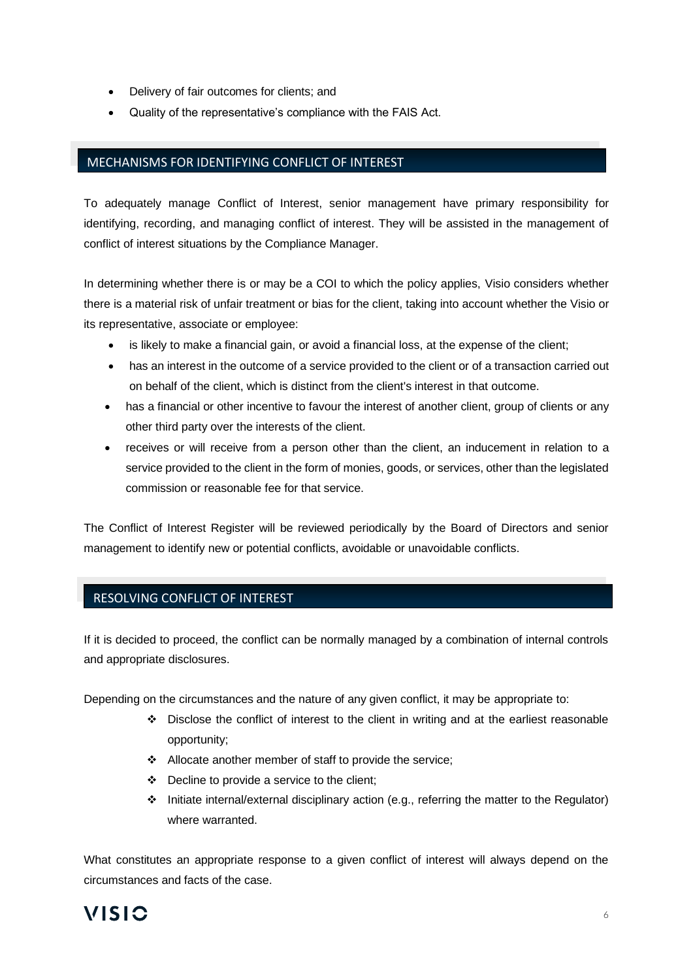- Delivery of fair outcomes for clients; and
- Quality of the representative's compliance with the FAIS Act.

# MECHANISMS FOR IDENTIFYING CONFLICT OF INTEREST

To adequately manage Conflict of Interest, senior management have primary responsibility for identifying, recording, and managing conflict of interest. They will be assisted in the management of conflict of interest situations by the Compliance Manager.

In determining whether there is or may be a COI to which the policy applies, Visio considers whether there is a material risk of unfair treatment or bias for the client, taking into account whether the Visio or its representative, associate or employee:

- is likely to make a financial gain, or avoid a financial loss, at the expense of the client;
- has an interest in the outcome of a service provided to the client or of a transaction carried out on behalf of the client, which is distinct from the client's interest in that outcome.
- has a financial or other incentive to favour the interest of another client, group of clients or any other third party over the interests of the client.
- receives or will receive from a person other than the client, an inducement in relation to a service provided to the client in the form of monies, goods, or services, other than the legislated commission or reasonable fee for that service.

The Conflict of Interest Register will be reviewed periodically by the Board of Directors and senior management to identify new or potential conflicts, avoidable or unavoidable conflicts.

## RESOLVING CONFLICT OF INTEREST

If it is decided to proceed, the conflict can be normally managed by a combination of internal controls and appropriate disclosures.

Depending on the circumstances and the nature of any given conflict, it may be appropriate to:

- ❖ Disclose the conflict of interest to the client in writing and at the earliest reasonable opportunity;
- ❖ Allocate another member of staff to provide the service;
- ❖ Decline to provide a service to the client;
- ❖ Initiate internal/external disciplinary action (e.g., referring the matter to the Regulator) where warranted.

What constitutes an appropriate response to a given conflict of interest will always depend on the circumstances and facts of the case.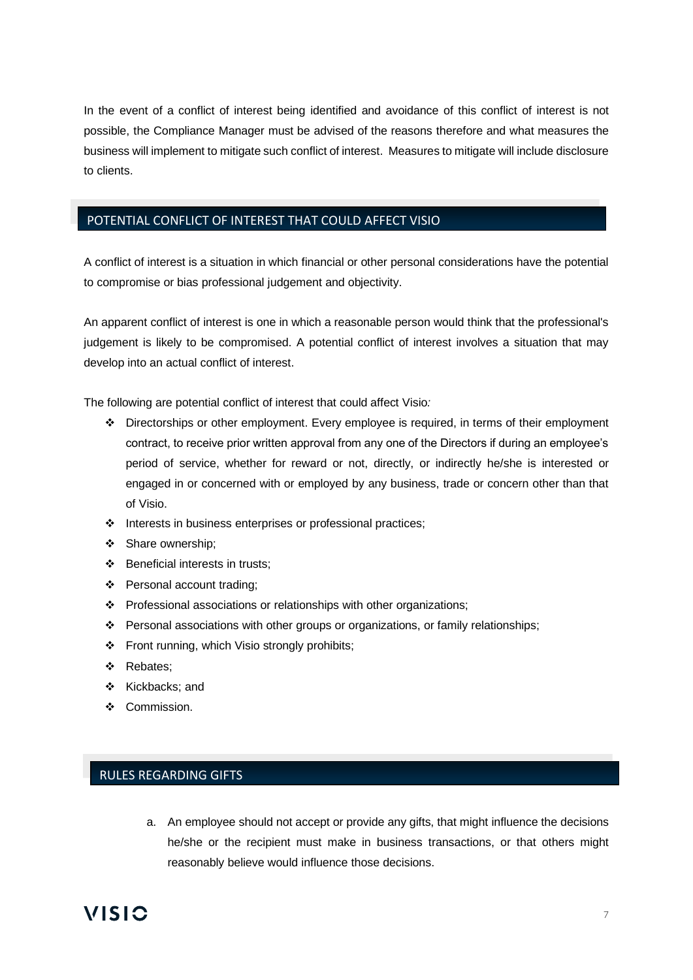In the event of a conflict of interest being identified and avoidance of this conflict of interest is not possible, the Compliance Manager must be advised of the reasons therefore and what measures the business will implement to mitigate such conflict of interest. Measures to mitigate will include disclosure to clients.

## POTENTIAL CONFLICT OF INTEREST THAT COULD AFFECT VISIO

A conflict of interest is a situation in which financial or other personal considerations have the potential to compromise or bias professional judgement and objectivity.

An apparent conflict of interest is one in which a reasonable person would think that the professional's judgement is likely to be compromised. A potential conflict of interest involves a situation that may develop into an actual conflict of interest.

The following are potential conflict of interest that could affect Visio*:*

- ❖ Directorships or other employment. Every employee is required, in terms of their employment contract, to receive prior written approval from any one of the Directors if during an employee's period of service, whether for reward or not, directly, or indirectly he/she is interested or engaged in or concerned with or employed by any business, trade or concern other than that of Visio.
- ❖ Interests in business enterprises or professional practices;
- ❖ Share ownership;
- ❖ Beneficial interests in trusts;
- ❖ Personal account trading;
- ❖ Professional associations or relationships with other organizations;
- ❖ Personal associations with other groups or organizations, or family relationships;
- ❖ Front running, which Visio strongly prohibits;
- ❖ Rebates;
- ❖ Kickbacks; and
- ❖ Commission.

# RULES REGARDING GIFTS

a. An employee should not accept or provide any gifts, that might influence the decisions he/she or the recipient must make in business transactions, or that others might reasonably believe would influence those decisions.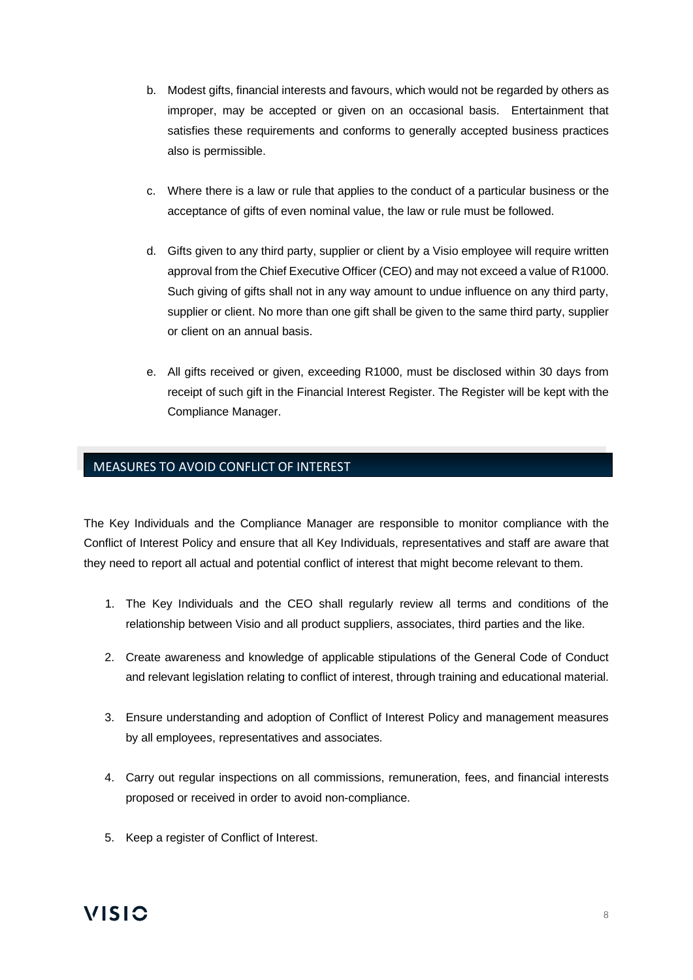- b. Modest gifts, financial interests and favours, which would not be regarded by others as improper, may be accepted or given on an occasional basis. Entertainment that satisfies these requirements and conforms to generally accepted business practices also is permissible.
- c. Where there is a law or rule that applies to the conduct of a particular business or the acceptance of gifts of even nominal value, the law or rule must be followed.
- d. Gifts given to any third party, supplier or client by a Visio employee will require written approval from the Chief Executive Officer (CEO) and may not exceed a value of R1000. Such giving of gifts shall not in any way amount to undue influence on any third party, supplier or client. No more than one gift shall be given to the same third party, supplier or client on an annual basis.
- e. All gifts received or given, exceeding R1000, must be disclosed within 30 days from receipt of such gift in the Financial Interest Register. The Register will be kept with the Compliance Manager.

# MEASURES TO AVOID CONFLICT OF INTEREST

The Key Individuals and the Compliance Manager are responsible to monitor compliance with the Conflict of Interest Policy and ensure that all Key Individuals, representatives and staff are aware that they need to report all actual and potential conflict of interest that might become relevant to them.

- 1. The Key Individuals and the CEO shall regularly review all terms and conditions of the relationship between Visio and all product suppliers, associates, third parties and the like.
- 2. Create awareness and knowledge of applicable stipulations of the General Code of Conduct and relevant legislation relating to conflict of interest, through training and educational material.
- 3. Ensure understanding and adoption of Conflict of Interest Policy and management measures by all employees, representatives and associates.
- 4. Carry out regular inspections on all commissions, remuneration, fees, and financial interests proposed or received in order to avoid non-compliance.
- 5. Keep a register of Conflict of Interest.

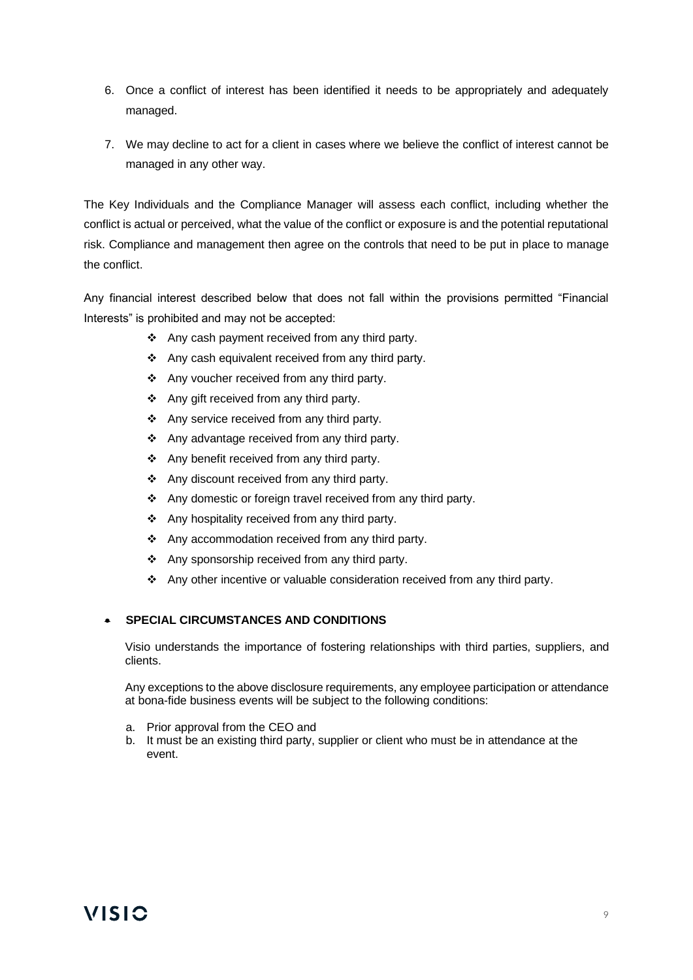- 6. Once a conflict of interest has been identified it needs to be appropriately and adequately managed.
- 7. We may decline to act for a client in cases where we believe the conflict of interest cannot be managed in any other way.

The Key Individuals and the Compliance Manager will assess each conflict, including whether the conflict is actual or perceived, what the value of the conflict or exposure is and the potential reputational risk. Compliance and management then agree on the controls that need to be put in place to manage the conflict.

Any financial interest described below that does not fall within the provisions permitted "Financial Interests" is prohibited and may not be accepted:

- ❖ Any cash payment received from any third party.
- ❖ Any cash equivalent received from any third party.
- ❖ Any voucher received from any third party.
- ❖ Any gift received from any third party.
- ❖ Any service received from any third party.
- ❖ Any advantage received from any third party.
- ❖ Any benefit received from any third party.
- ❖ Any discount received from any third party.
- ❖ Any domestic or foreign travel received from any third party.
- ❖ Any hospitality received from any third party.
- ❖ Any accommodation received from any third party.
- ❖ Any sponsorship received from any third party.
- ❖ Any other incentive or valuable consideration received from any third party.

## • **SPECIAL CIRCUMSTANCES AND CONDITIONS**

Visio understands the importance of fostering relationships with third parties, suppliers, and clients.

Any exceptions to the above disclosure requirements, any employee participation or attendance at bona-fide business events will be subject to the following conditions:

- a. Prior approval from the CEO and
- b. It must be an existing third party, supplier or client who must be in attendance at the event.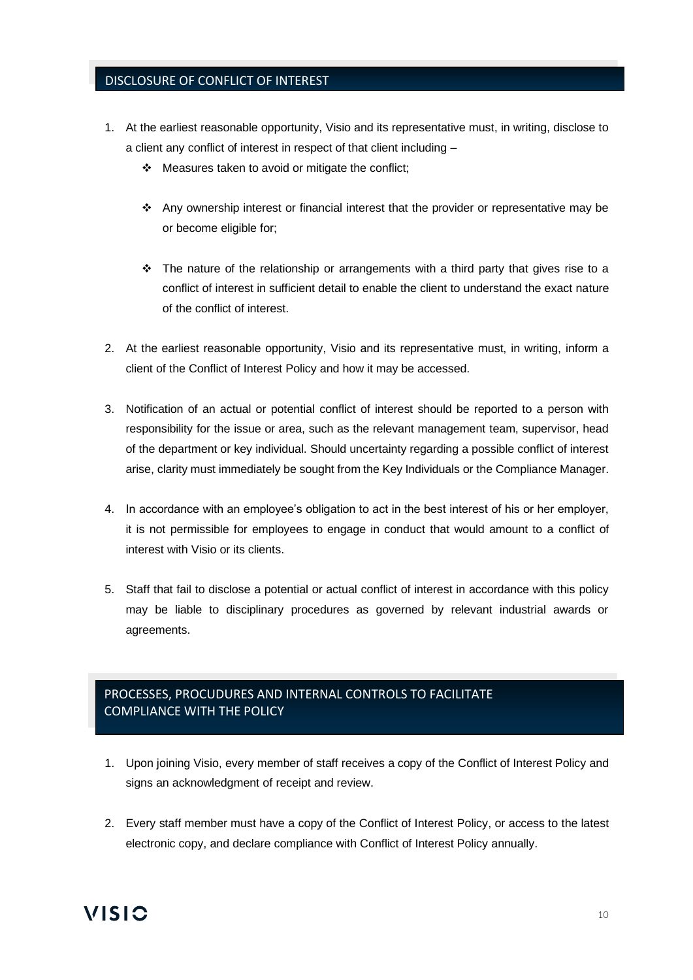# DISCLOSURE OF CONFLICT OF INTEREST

- 1. At the earliest reasonable opportunity, Visio and its representative must, in writing, disclose to a client any conflict of interest in respect of that client including –
	- ❖ Measures taken to avoid or mitigate the conflict;
	- ❖ Any ownership interest or financial interest that the provider or representative may be or become eligible for;
	- $\div$  The nature of the relationship or arrangements with a third party that gives rise to a conflict of interest in sufficient detail to enable the client to understand the exact nature of the conflict of interest.
- 2. At the earliest reasonable opportunity, Visio and its representative must, in writing, inform a client of the Conflict of Interest Policy and how it may be accessed.
- 3. Notification of an actual or potential conflict of interest should be reported to a person with responsibility for the issue or area, such as the relevant management team, supervisor, head of the department or key individual. Should uncertainty regarding a possible conflict of interest arise, clarity must immediately be sought from the Key Individuals or the Compliance Manager.
- 4. In accordance with an employee's obligation to act in the best interest of his or her employer, it is not permissible for employees to engage in conduct that would amount to a conflict of interest with Visio or its clients.
- 5. Staff that fail to disclose a potential or actual conflict of interest in accordance with this policy may be liable to disciplinary procedures as governed by relevant industrial awards or agreements.

# PROCESSES, PROCUDURES AND INTERNAL CONTROLS TO FACILITATE COMPLIANCE WITH THE POLICY

- 1. Upon joining Visio, every member of staff receives a copy of the Conflict of Interest Policy and signs an acknowledgment of receipt and review.
- 2. Every staff member must have a copy of the Conflict of Interest Policy, or access to the latest electronic copy, and declare compliance with Conflict of Interest Policy annually.

# **VISIC**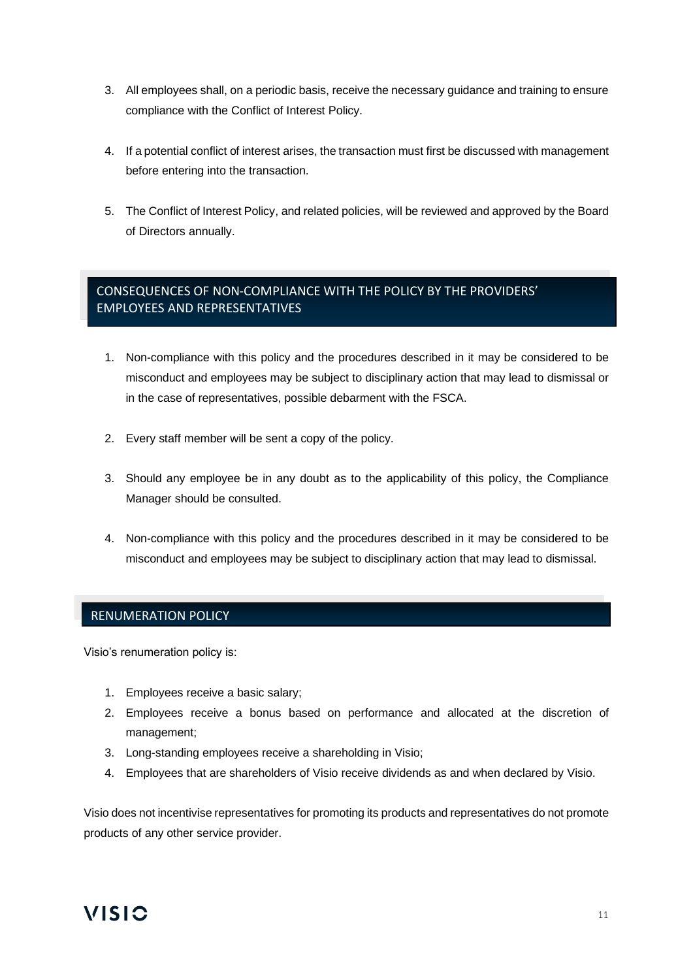- 3. All employees shall, on a periodic basis, receive the necessary guidance and training to ensure compliance with the Conflict of Interest Policy.
- 4. If a potential conflict of interest arises, the transaction must first be discussed with management before entering into the transaction.
- 5. The Conflict of Interest Policy, and related policies, will be reviewed and approved by the Board of Directors annually.

# CONSEQUENCES OF NON-COMPLIANCE WITH THE POLICY BY THE PROVIDERS' EMPLOYEES AND REPRESENTATIVES

- 1. Non-compliance with this policy and the procedures described in it may be considered to be misconduct and employees may be subject to disciplinary action that may lead to dismissal or in the case of representatives, possible debarment with the FSCA.
- 2. Every staff member will be sent a copy of the policy.
- 3. Should any employee be in any doubt as to the applicability of this policy, the Compliance Manager should be consulted.
- 4. Non-compliance with this policy and the procedures described in it may be considered to be misconduct and employees may be subject to disciplinary action that may lead to dismissal.

## RENUMERATION POLICY

Visio's renumeration policy is:

- 1. Employees receive a basic salary;
- 2. Employees receive a bonus based on performance and allocated at the discretion of management;
- 3. Long-standing employees receive a shareholding in Visio;
- 4. Employees that are shareholders of Visio receive dividends as and when declared by Visio.

Visio does not incentivise representatives for promoting its products and representatives do not promote products of any other service provider.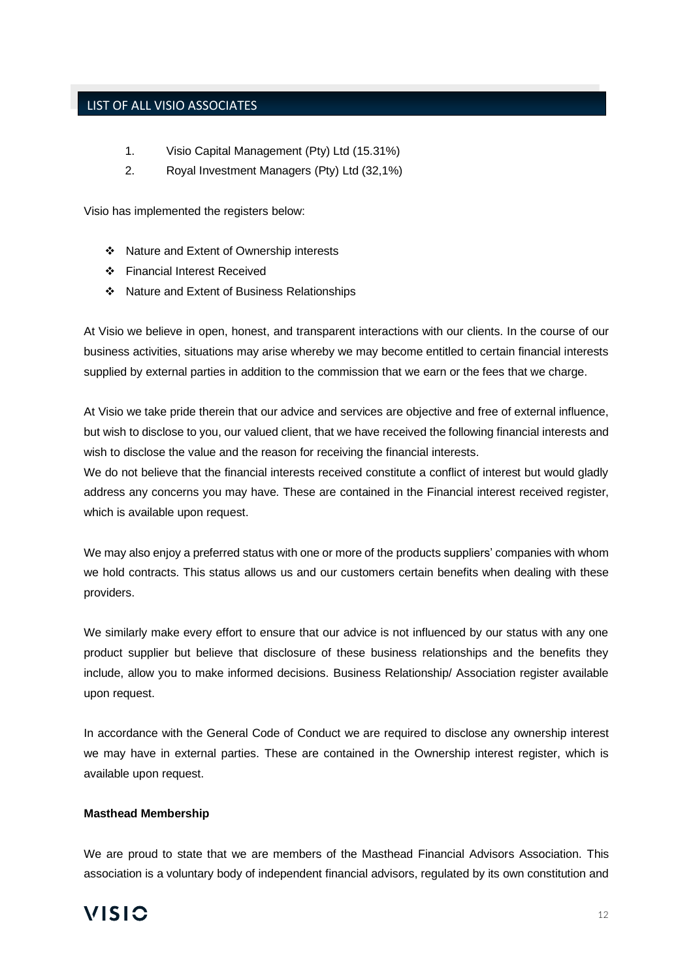# LIST OF ALL VISIO ASSOCIATES

- 1. Visio Capital Management (Pty) Ltd (15.31%)
- 2. Royal Investment Managers (Pty) Ltd (32,1%)

Visio has implemented the registers below:

- ❖ Nature and Extent of Ownership interests
- ❖ Financial Interest Received
- ❖ Nature and Extent of Business Relationships

At Visio we believe in open, honest, and transparent interactions with our clients. In the course of our business activities, situations may arise whereby we may become entitled to certain financial interests supplied by external parties in addition to the commission that we earn or the fees that we charge.

At Visio we take pride therein that our advice and services are objective and free of external influence, but wish to disclose to you, our valued client, that we have received the following financial interests and wish to disclose the value and the reason for receiving the financial interests.

We do not believe that the financial interests received constitute a conflict of interest but would gladly address any concerns you may have. These are contained in the Financial interest received register, which is available upon request.

We may also enjoy a preferred status with one or more of the products suppliers' companies with whom we hold contracts. This status allows us and our customers certain benefits when dealing with these providers.

We similarly make every effort to ensure that our advice is not influenced by our status with any one product supplier but believe that disclosure of these business relationships and the benefits they include, allow you to make informed decisions. Business Relationship/ Association register available upon request.

In accordance with the General Code of Conduct we are required to disclose any ownership interest we may have in external parties. These are contained in the Ownership interest register, which is available upon request.

#### **Masthead Membership**

We are proud to state that we are members of the Masthead Financial Advisors Association. This association is a voluntary body of independent financial advisors, regulated by its own constitution and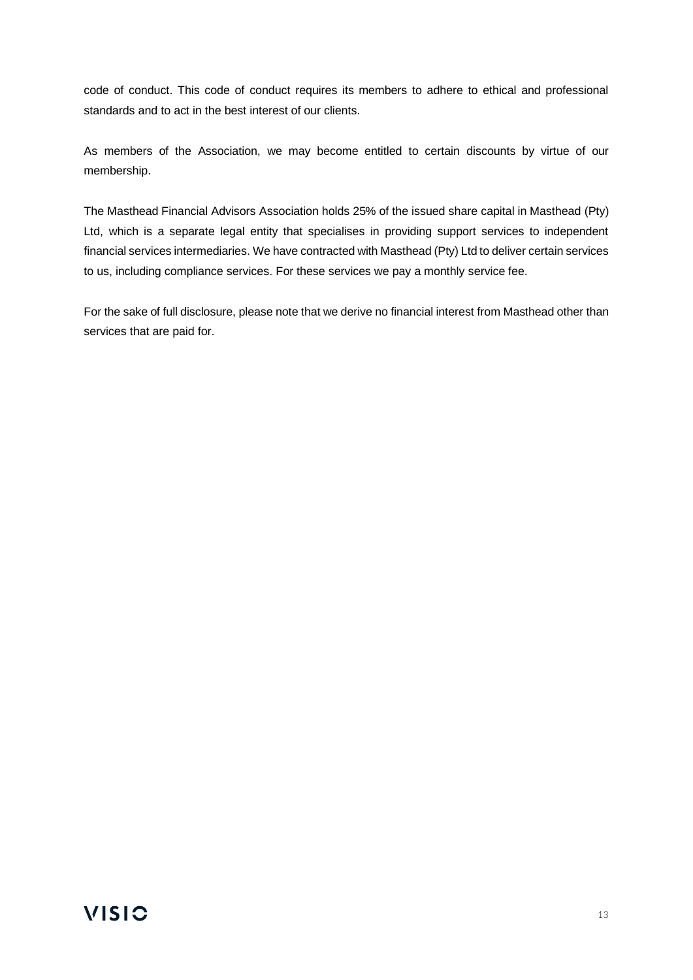code of conduct. This code of conduct requires its members to adhere to ethical and professional standards and to act in the best interest of our clients.

As members of the Association, we may become entitled to certain discounts by virtue of our membership.

The Masthead Financial Advisors Association holds 25% of the issued share capital in Masthead (Pty) Ltd, which is a separate legal entity that specialises in providing support services to independent financial services intermediaries. We have contracted with Masthead (Pty) Ltd to deliver certain services to us, including compliance services. For these services we pay a monthly service fee.

For the sake of full disclosure, please note that we derive no financial interest from Masthead other than services that are paid for.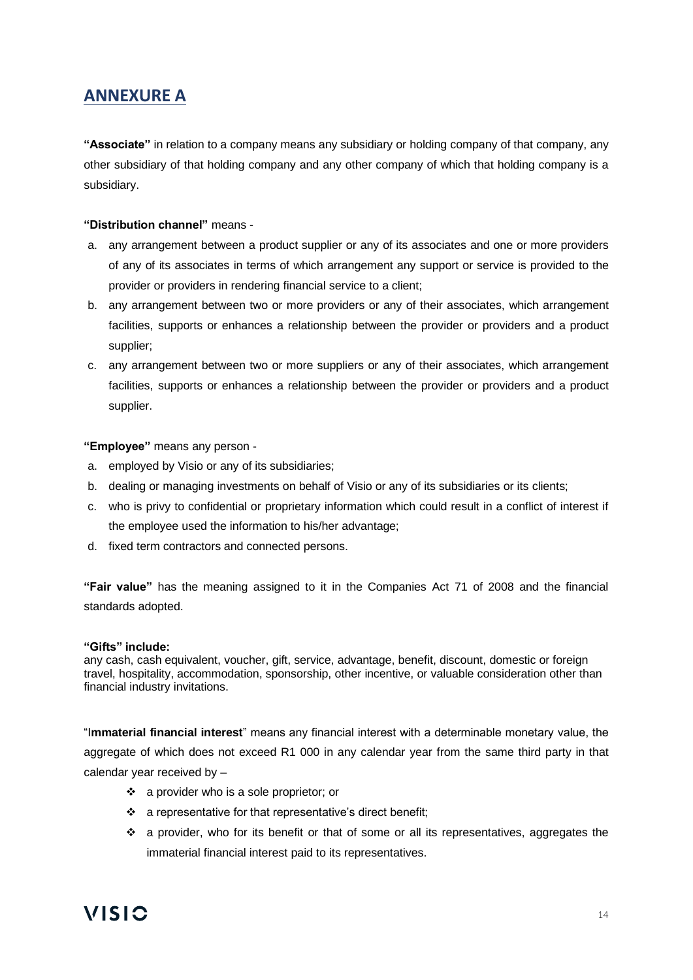# **ANNEXURE A**

**"Associate"** in relation to a company means any subsidiary or holding company of that company, any other subsidiary of that holding company and any other company of which that holding company is a subsidiary.

#### **"Distribution channel"** means -

- a. any arrangement between a product supplier or any of its associates and one or more providers of any of its associates in terms of which arrangement any support or service is provided to the provider or providers in rendering financial service to a client;
- b. any arrangement between two or more providers or any of their associates, which arrangement facilities, supports or enhances a relationship between the provider or providers and a product supplier;
- c. any arrangement between two or more suppliers or any of their associates, which arrangement facilities, supports or enhances a relationship between the provider or providers and a product supplier.

**"Employee"** means any person -

- a. employed by Visio or any of its subsidiaries;
- b. dealing or managing investments on behalf of Visio or any of its subsidiaries or its clients;
- c. who is privy to confidential or proprietary information which could result in a conflict of interest if the employee used the information to his/her advantage;
- d. fixed term contractors and connected persons.

**"Fair value"** has the meaning assigned to it in the Companies Act 71 of 2008 and the financial standards adopted.

#### **"Gifts" include:**

any cash, cash equivalent, voucher, gift, service, advantage, benefit, discount, domestic or foreign travel, hospitality, accommodation, sponsorship, other incentive, or valuable consideration other than financial industry invitations.

"I**mmaterial financial interest**" means any financial interest with a determinable monetary value, the aggregate of which does not exceed R1 000 in any calendar year from the same third party in that calendar year received by –

- ❖ a provider who is a sole proprietor; or
- ❖ a representative for that representative's direct benefit;
- ❖ a provider, who for its benefit or that of some or all its representatives, aggregates the immaterial financial interest paid to its representatives.